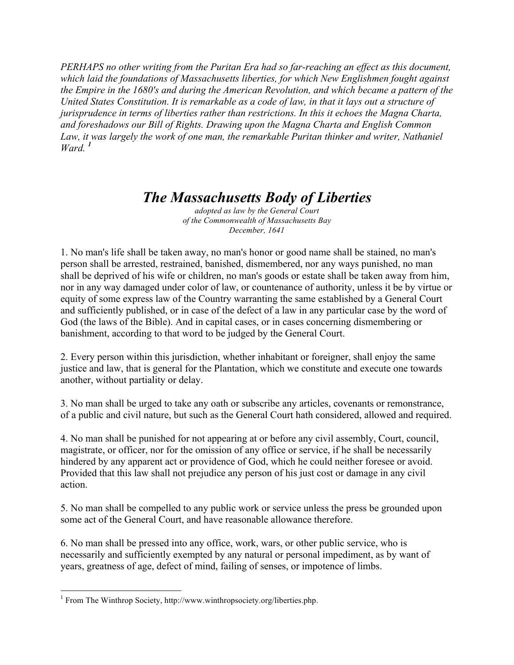*PERHAPS no other writing from the Puritan Era had so far-reaching an effect as this document, which laid the foundations of Massachusetts liberties, for which New Englishmen fought against the Empire in the 1680's and during the American Revolution, and which became a pattern of the United States Constitution. It is remarkable as a code of law, in that it lays out a structure of jurisprudence in terms of liberties rather than restrictions. In this it echoes the Magna Charta, and foreshadows our Bill of Rights. Drawing upon the Magna Charta and English Common*  Law, it was largely the work of one man, the remarkable Puritan thinker and writer, Nathaniel *Ward. <sup>1</sup>*

# *The Massachusetts Body of Liberties*

*adopted as law by the General Court of the Commonwealth of Massachusetts Bay December, 1641*

1. No man's life shall be taken away, no man's honor or good name shall be stained, no man's person shall be arrested, restrained, banished, dismembered, nor any ways punished, no man shall be deprived of his wife or children, no man's goods or estate shall be taken away from him, nor in any way damaged under color of law, or countenance of authority, unless it be by virtue or equity of some express law of the Country warranting the same established by a General Court and sufficiently published, or in case of the defect of a law in any particular case by the word of God (the laws of the Bible). And in capital cases, or in cases concerning dismembering or banishment, according to that word to be judged by the General Court.

2. Every person within this jurisdiction, whether inhabitant or foreigner, shall enjoy the same justice and law, that is general for the Plantation, which we constitute and execute one towards another, without partiality or delay.

3. No man shall be urged to take any oath or subscribe any articles, covenants or remonstrance, of a public and civil nature, but such as the General Court hath considered, allowed and required.

4. No man shall be punished for not appearing at or before any civil assembly, Court, council, magistrate, or officer, nor for the omission of any office or service, if he shall be necessarily hindered by any apparent act or providence of God, which he could neither foresee or avoid. Provided that this law shall not prejudice any person of his just cost or damage in any civil action.

5. No man shall be compelled to any public work or service unless the press be grounded upon some act of the General Court, and have reasonable allowance therefore.

6. No man shall be pressed into any office, work, wars, or other public service, who is necessarily and sufficiently exempted by any natural or personal impediment, as by want of years, greatness of age, defect of mind, failing of senses, or impotence of limbs.

<sup>&</sup>lt;sup>1</sup> From The Winthrop Society, http://www.winthropsociety.org/liberties.php.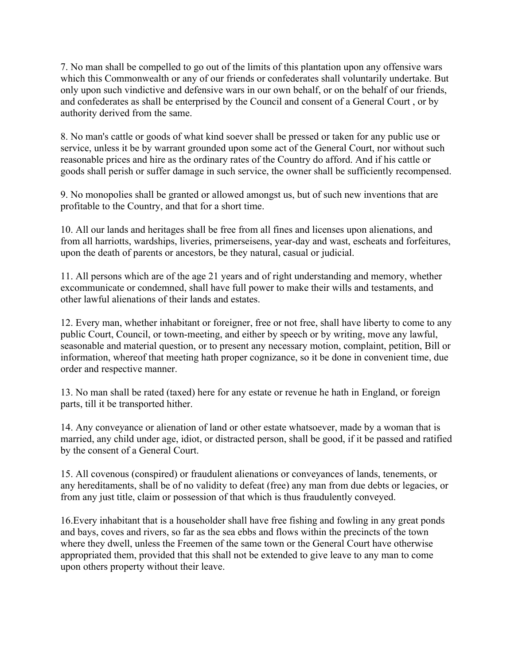7. No man shall be compelled to go out of the limits of this plantation upon any offensive wars which this Commonwealth or any of our friends or confederates shall voluntarily undertake. But only upon such vindictive and defensive wars in our own behalf, or on the behalf of our friends, and confederates as shall be enterprised by the Council and consent of a General Court , or by authority derived from the same.

8. No man's cattle or goods of what kind soever shall be pressed or taken for any public use or service, unless it be by warrant grounded upon some act of the General Court, nor without such reasonable prices and hire as the ordinary rates of the Country do afford. And if his cattle or goods shall perish or suffer damage in such service, the owner shall be sufficiently recompensed.

9. No monopolies shall be granted or allowed amongst us, but of such new inventions that are profitable to the Country, and that for a short time.

10. All our lands and heritages shall be free from all fines and licenses upon alienations, and from all harriotts, wardships, liveries, primerseisens, year-day and wast, escheats and forfeitures, upon the death of parents or ancestors, be they natural, casual or judicial.

11. All persons which are of the age 21 years and of right understanding and memory, whether excommunicate or condemned, shall have full power to make their wills and testaments, and other lawful alienations of their lands and estates.

12. Every man, whether inhabitant or foreigner, free or not free, shall have liberty to come to any public Court, Council, or town-meeting, and either by speech or by writing, move any lawful, seasonable and material question, or to present any necessary motion, complaint, petition, Bill or information, whereof that meeting hath proper cognizance, so it be done in convenient time, due order and respective manner.

13. No man shall be rated (taxed) here for any estate or revenue he hath in England, or foreign parts, till it be transported hither.

14. Any conveyance or alienation of land or other estate whatsoever, made by a woman that is married, any child under age, idiot, or distracted person, shall be good, if it be passed and ratified by the consent of a General Court.

15. All covenous (conspired) or fraudulent alienations or conveyances of lands, tenements, or any hereditaments, shall be of no validity to defeat (free) any man from due debts or legacies, or from any just title, claim or possession of that which is thus fraudulently conveyed.

16.Every inhabitant that is a householder shall have free fishing and fowling in any great ponds and bays, coves and rivers, so far as the sea ebbs and flows within the precincts of the town where they dwell, unless the Freemen of the same town or the General Court have otherwise appropriated them, provided that this shall not be extended to give leave to any man to come upon others property without their leave.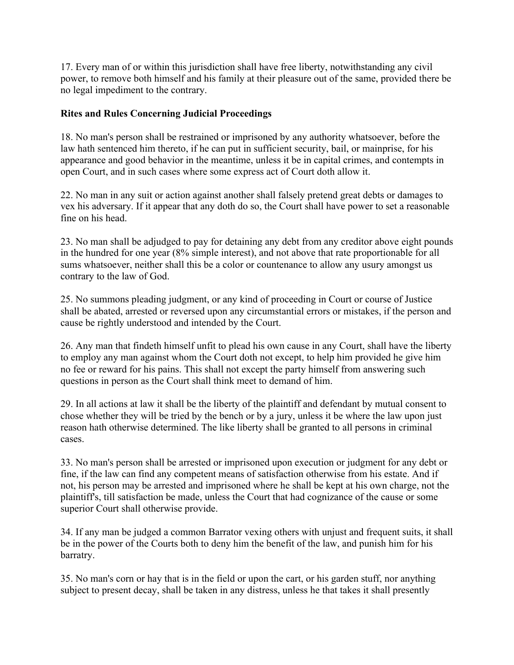17. Every man of or within this jurisdiction shall have free liberty, notwithstanding any civil power, to remove both himself and his family at their pleasure out of the same, provided there be no legal impediment to the contrary.

## **Rites and Rules Concerning Judicial Proceedings**

18. No man's person shall be restrained or imprisoned by any authority whatsoever, before the law hath sentenced him thereto, if he can put in sufficient security, bail, or mainprise, for his appearance and good behavior in the meantime, unless it be in capital crimes, and contempts in open Court, and in such cases where some express act of Court doth allow it.

22. No man in any suit or action against another shall falsely pretend great debts or damages to vex his adversary. If it appear that any doth do so, the Court shall have power to set a reasonable fine on his head.

23. No man shall be adjudged to pay for detaining any debt from any creditor above eight pounds in the hundred for one year (8% simple interest), and not above that rate proportionable for all sums whatsoever, neither shall this be a color or countenance to allow any usury amongst us contrary to the law of God.

25. No summons pleading judgment, or any kind of proceeding in Court or course of Justice shall be abated, arrested or reversed upon any circumstantial errors or mistakes, if the person and cause be rightly understood and intended by the Court.

26. Any man that findeth himself unfit to plead his own cause in any Court, shall have the liberty to employ any man against whom the Court doth not except, to help him provided he give him no fee or reward for his pains. This shall not except the party himself from answering such questions in person as the Court shall think meet to demand of him.

29. In all actions at law it shall be the liberty of the plaintiff and defendant by mutual consent to chose whether they will be tried by the bench or by a jury, unless it be where the law upon just reason hath otherwise determined. The like liberty shall be granted to all persons in criminal cases.

33. No man's person shall be arrested or imprisoned upon execution or judgment for any debt or fine, if the law can find any competent means of satisfaction otherwise from his estate. And if not, his person may be arrested and imprisoned where he shall be kept at his own charge, not the plaintiff's, till satisfaction be made, unless the Court that had cognizance of the cause or some superior Court shall otherwise provide.

34. If any man be judged a common Barrator vexing others with unjust and frequent suits, it shall be in the power of the Courts both to deny him the benefit of the law, and punish him for his barratry.

35. No man's corn or hay that is in the field or upon the cart, or his garden stuff, nor anything subject to present decay, shall be taken in any distress, unless he that takes it shall presently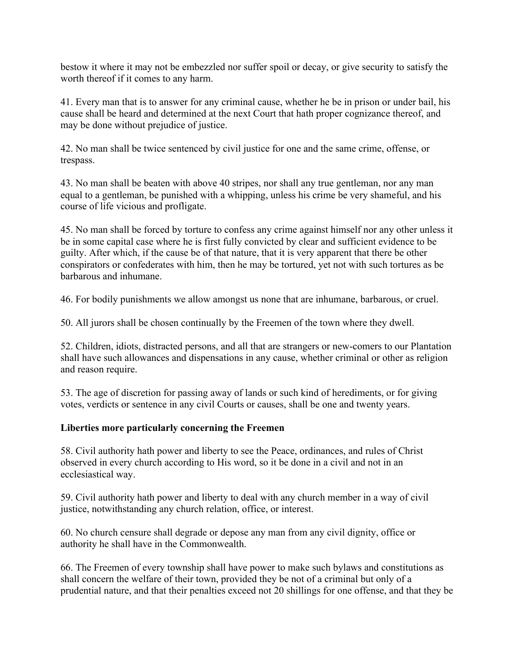bestow it where it may not be embezzled nor suffer spoil or decay, or give security to satisfy the worth thereof if it comes to any harm.

41. Every man that is to answer for any criminal cause, whether he be in prison or under bail, his cause shall be heard and determined at the next Court that hath proper cognizance thereof, and may be done without prejudice of justice.

42. No man shall be twice sentenced by civil justice for one and the same crime, offense, or trespass.

43. No man shall be beaten with above 40 stripes, nor shall any true gentleman, nor any man equal to a gentleman, be punished with a whipping, unless his crime be very shameful, and his course of life vicious and profligate.

45. No man shall be forced by torture to confess any crime against himself nor any other unless it be in some capital case where he is first fully convicted by clear and sufficient evidence to be guilty. After which, if the cause be of that nature, that it is very apparent that there be other conspirators or confederates with him, then he may be tortured, yet not with such tortures as be barbarous and inhumane.

46. For bodily punishments we allow amongst us none that are inhumane, barbarous, or cruel.

50. All jurors shall be chosen continually by the Freemen of the town where they dwell.

52. Children, idiots, distracted persons, and all that are strangers or new-comers to our Plantation shall have such allowances and dispensations in any cause, whether criminal or other as religion and reason require.

53. The age of discretion for passing away of lands or such kind of herediments, or for giving votes, verdicts or sentence in any civil Courts or causes, shall be one and twenty years.

## **Liberties more particularly concerning the Freemen**

58. Civil authority hath power and liberty to see the Peace, ordinances, and rules of Christ observed in every church according to His word, so it be done in a civil and not in an ecclesiastical way.

59. Civil authority hath power and liberty to deal with any church member in a way of civil justice, notwithstanding any church relation, office, or interest.

60. No church censure shall degrade or depose any man from any civil dignity, office or authority he shall have in the Commonwealth.

66. The Freemen of every township shall have power to make such bylaws and constitutions as shall concern the welfare of their town, provided they be not of a criminal but only of a prudential nature, and that their penalties exceed not 20 shillings for one offense, and that they be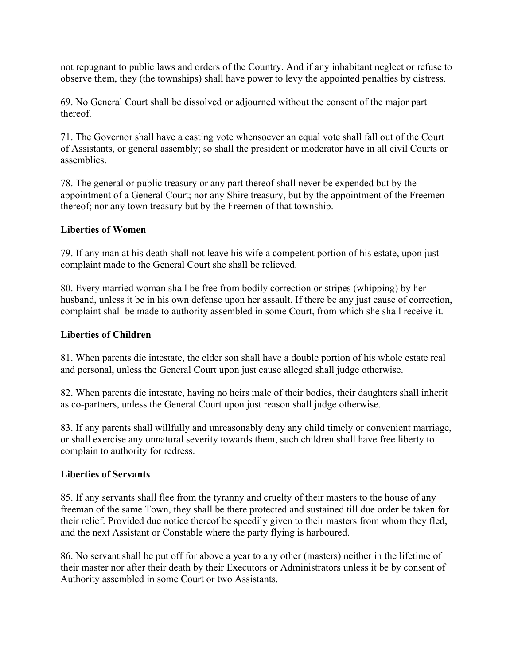not repugnant to public laws and orders of the Country. And if any inhabitant neglect or refuse to observe them, they (the townships) shall have power to levy the appointed penalties by distress.

69. No General Court shall be dissolved or adjourned without the consent of the major part thereof.

71. The Governor shall have a casting vote whensoever an equal vote shall fall out of the Court of Assistants, or general assembly; so shall the president or moderator have in all civil Courts or assemblies.

78. The general or public treasury or any part thereof shall never be expended but by the appointment of a General Court; nor any Shire treasury, but by the appointment of the Freemen thereof; nor any town treasury but by the Freemen of that township.

### **Liberties of Women**

79. If any man at his death shall not leave his wife a competent portion of his estate, upon just complaint made to the General Court she shall be relieved.

80. Every married woman shall be free from bodily correction or stripes (whipping) by her husband, unless it be in his own defense upon her assault. If there be any just cause of correction, complaint shall be made to authority assembled in some Court, from which she shall receive it.

### **Liberties of Children**

81. When parents die intestate, the elder son shall have a double portion of his whole estate real and personal, unless the General Court upon just cause alleged shall judge otherwise.

82. When parents die intestate, having no heirs male of their bodies, their daughters shall inherit as co-partners, unless the General Court upon just reason shall judge otherwise.

83. If any parents shall willfully and unreasonably deny any child timely or convenient marriage, or shall exercise any unnatural severity towards them, such children shall have free liberty to complain to authority for redress.

### **Liberties of Servants**

85. If any servants shall flee from the tyranny and cruelty of their masters to the house of any freeman of the same Town, they shall be there protected and sustained till due order be taken for their relief. Provided due notice thereof be speedily given to their masters from whom they fled, and the next Assistant or Constable where the party flying is harboured.

86. No servant shall be put off for above a year to any other (masters) neither in the lifetime of their master nor after their death by their Executors or Administrators unless it be by consent of Authority assembled in some Court or two Assistants.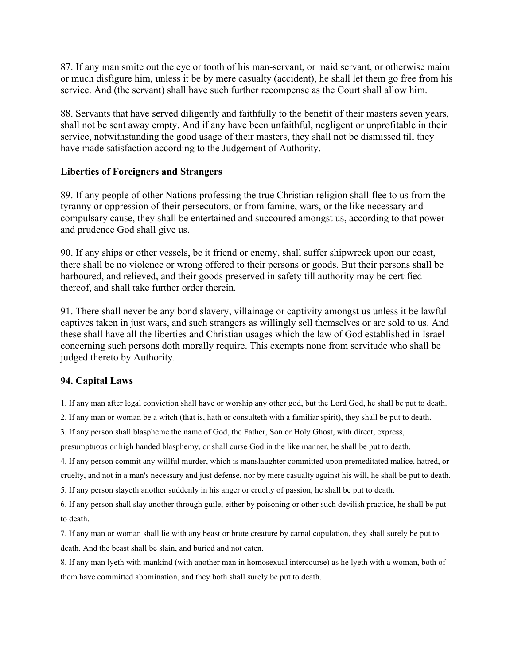87. If any man smite out the eye or tooth of his man-servant, or maid servant, or otherwise maim or much disfigure him, unless it be by mere casualty (accident), he shall let them go free from his service. And (the servant) shall have such further recompense as the Court shall allow him.

88. Servants that have served diligently and faithfully to the benefit of their masters seven years, shall not be sent away empty. And if any have been unfaithful, negligent or unprofitable in their service, notwithstanding the good usage of their masters, they shall not be dismissed till they have made satisfaction according to the Judgement of Authority.

#### **Liberties of Foreigners and Strangers**

89. If any people of other Nations professing the true Christian religion shall flee to us from the tyranny or oppression of their persecutors, or from famine, wars, or the like necessary and compulsary cause, they shall be entertained and succoured amongst us, according to that power and prudence God shall give us.

90. If any ships or other vessels, be it friend or enemy, shall suffer shipwreck upon our coast, there shall be no violence or wrong offered to their persons or goods. But their persons shall be harboured, and relieved, and their goods preserved in safety till authority may be certified thereof, and shall take further order therein.

91. There shall never be any bond slavery, villainage or captivity amongst us unless it be lawful captives taken in just wars, and such strangers as willingly sell themselves or are sold to us. And these shall have all the liberties and Christian usages which the law of God established in Israel concerning such persons doth morally require. This exempts none from servitude who shall be judged thereto by Authority.

#### **94. Capital Laws**

1. If any man after legal conviction shall have or worship any other god, but the Lord God, he shall be put to death.

2. If any man or woman be a witch (that is, hath or consulteth with a familiar spirit), they shall be put to death.

3. If any person shall blaspheme the name of God, the Father, Son or Holy Ghost, with direct, express,

presumptuous or high handed blasphemy, or shall curse God in the like manner, he shall be put to death.

4. If any person commit any willful murder, which is manslaughter committed upon premeditated malice, hatred, or cruelty, and not in a man's necessary and just defense, nor by mere casualty against his will, he shall be put to death.

5. If any person slayeth another suddenly in his anger or cruelty of passion, he shall be put to death.

6. If any person shall slay another through guile, either by poisoning or other such devilish practice, he shall be put to death.

7. If any man or woman shall lie with any beast or brute creature by carnal copulation, they shall surely be put to death. And the beast shall be slain, and buried and not eaten.

8. If any man lyeth with mankind (with another man in homosexual intercourse) as he lyeth with a woman, both of them have committed abomination, and they both shall surely be put to death.